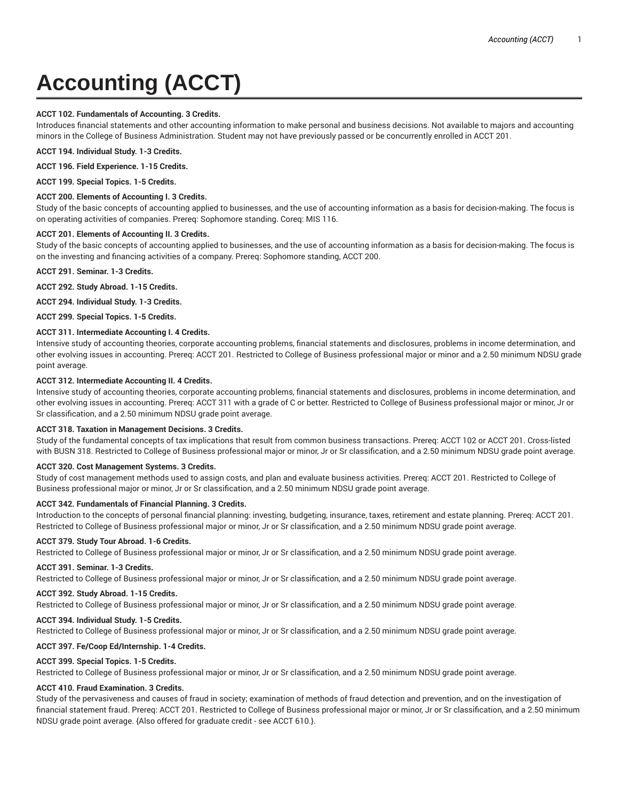# **Accounting (ACCT)**

# **ACCT 102. Fundamentals of Accounting. 3 Credits.**

Introduces financial statements and other accounting information to make personal and business decisions. Not available to majors and accounting minors in the College of Business Administration. Student may not have previously passed or be concurrently enrolled in ACCT 201.

**ACCT 194. Individual Study. 1-3 Credits.**

**ACCT 196. Field Experience. 1-15 Credits.**

**ACCT 199. Special Topics. 1-5 Credits.**

#### **ACCT 200. Elements of Accounting I. 3 Credits.**

Study of the basic concepts of accounting applied to businesses, and the use of accounting information as a basis for decision-making. The focus is on operating activities of companies. Prereq: Sophomore standing. Coreq: MIS 116.

#### **ACCT 201. Elements of Accounting II. 3 Credits.**

Study of the basic concepts of accounting applied to businesses, and the use of accounting information as a basis for decision-making. The focus is on the investing and financing activities of a company. Prereq: Sophomore standing, ACCT 200.

**ACCT 291. Seminar. 1-3 Credits.**

**ACCT 292. Study Abroad. 1-15 Credits.**

**ACCT 294. Individual Study. 1-3 Credits.**

**ACCT 299. Special Topics. 1-5 Credits.**

# **ACCT 311. Intermediate Accounting I. 4 Credits.**

Intensive study of accounting theories, corporate accounting problems, financial statements and disclosures, problems in income determination, and other evolving issues in accounting. Prereq: ACCT 201. Restricted to College of Business professional major or minor and a 2.50 minimum NDSU grade point average.

#### **ACCT 312. Intermediate Accounting II. 4 Credits.**

Intensive study of accounting theories, corporate accounting problems, financial statements and disclosures, problems in income determination, and other evolving issues in accounting. Prereq: ACCT 311 with a grade of C or better. Restricted to College of Business professional major or minor, Jr or Sr classification, and a 2.50 minimum NDSU grade point average.

#### **ACCT 318. Taxation in Management Decisions. 3 Credits.**

Study of the fundamental concepts of tax implications that result from common business transactions. Prereq: ACCT 102 or ACCT 201. Cross-listed with BUSN 318. Restricted to College of Business professional major or minor, Jr or Sr classification, and a 2.50 minimum NDSU grade point average.

#### **ACCT 320. Cost Management Systems. 3 Credits.**

Study of cost management methods used to assign costs, and plan and evaluate business activities. Prereq: ACCT 201. Restricted to College of Business professional major or minor, Jr or Sr classification, and a 2.50 minimum NDSU grade point average.

#### **ACCT 342. Fundamentals of Financial Planning. 3 Credits.**

Introduction to the concepts of personal financial planning: investing, budgeting, insurance, taxes, retirement and estate planning. Prereq: ACCT 201. Restricted to College of Business professional major or minor, Jr or Sr classification, and a 2.50 minimum NDSU grade point average.

#### **ACCT 379. Study Tour Abroad. 1-6 Credits.**

Restricted to College of Business professional major or minor, Jr or Sr classification, and a 2.50 minimum NDSU grade point average.

# **ACCT 391. Seminar. 1-3 Credits.**

Restricted to College of Business professional major or minor, Jr or Sr classification, and a 2.50 minimum NDSU grade point average.

# **ACCT 392. Study Abroad. 1-15 Credits.**

Restricted to College of Business professional major or minor, Jr or Sr classification, and a 2.50 minimum NDSU grade point average.

#### **ACCT 394. Individual Study. 1-5 Credits.**

Restricted to College of Business professional major or minor, Jr or Sr classification, and a 2.50 minimum NDSU grade point average.

# **ACCT 397. Fe/Coop Ed/Internship. 1-4 Credits.**

# **ACCT 399. Special Topics. 1-5 Credits.**

Restricted to College of Business professional major or minor, Jr or Sr classification, and a 2.50 minimum NDSU grade point average.

#### **ACCT 410. Fraud Examination. 3 Credits.**

Study of the pervasiveness and causes of fraud in society; examination of methods of fraud detection and prevention, and on the investigation of financial statement fraud. Prereq: ACCT 201. Restricted to College of Business professional major or minor, Jr or Sr classification, and a 2.50 minimum NDSU grade point average. {Also offered for graduate credit - see ACCT 610.}.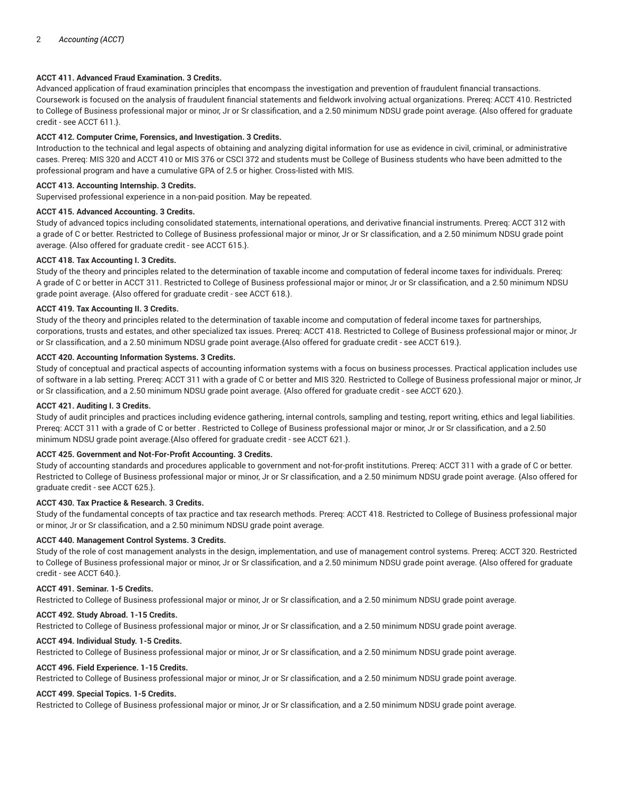# **ACCT 411. Advanced Fraud Examination. 3 Credits.**

Advanced application of fraud examination principles that encompass the investigation and prevention of fraudulent financial transactions. Coursework is focused on the analysis of fraudulent financial statements and fieldwork involving actual organizations. Prereq: ACCT 410. Restricted to College of Business professional major or minor, Jr or Sr classification, and a 2.50 minimum NDSU grade point average. {Also offered for graduate credit - see ACCT 611.}.

# **ACCT 412. Computer Crime, Forensics, and Investigation. 3 Credits.**

Introduction to the technical and legal aspects of obtaining and analyzing digital information for use as evidence in civil, criminal, or administrative cases. Prereq: MIS 320 and ACCT 410 or MIS 376 or CSCI 372 and students must be College of Business students who have been admitted to the professional program and have a cumulative GPA of 2.5 or higher. Cross-listed with MIS.

# **ACCT 413. Accounting Internship. 3 Credits.**

Supervised professional experience in a non-paid position. May be repeated.

# **ACCT 415. Advanced Accounting. 3 Credits.**

Study of advanced topics including consolidated statements, international operations, and derivative financial instruments. Prereq: ACCT 312 with a grade of C or better. Restricted to College of Business professional major or minor, Jr or Sr classification, and a 2.50 minimum NDSU grade point average. {Also offered for graduate credit - see ACCT 615.}.

# **ACCT 418. Tax Accounting I. 3 Credits.**

Study of the theory and principles related to the determination of taxable income and computation of federal income taxes for individuals. Prereq: A grade of C or better in ACCT 311. Restricted to College of Business professional major or minor, Jr or Sr classification, and a 2.50 minimum NDSU grade point average. {Also offered for graduate credit - see ACCT 618.}.

# **ACCT 419. Tax Accounting II. 3 Credits.**

Study of the theory and principles related to the determination of taxable income and computation of federal income taxes for partnerships, corporations, trusts and estates, and other specialized tax issues. Prereq: ACCT 418. Restricted to College of Business professional major or minor, Jr or Sr classification, and a 2.50 minimum NDSU grade point average.{Also offered for graduate credit - see ACCT 619.}.

# **ACCT 420. Accounting Information Systems. 3 Credits.**

Study of conceptual and practical aspects of accounting information systems with a focus on business processes. Practical application includes use of software in a lab setting. Prereq: ACCT 311 with a grade of C or better and MIS 320. Restricted to College of Business professional major or minor, Jr or Sr classification, and a 2.50 minimum NDSU grade point average. {Also offered for graduate credit - see ACCT 620.}.

# **ACCT 421. Auditing I. 3 Credits.**

Study of audit principles and practices including evidence gathering, internal controls, sampling and testing, report writing, ethics and legal liabilities. Prereq: ACCT 311 with a grade of C or better . Restricted to College of Business professional major or minor, Jr or Sr classification, and a 2.50 minimum NDSU grade point average.{Also offered for graduate credit - see ACCT 621.}.

# **ACCT 425. Government and Not-For-Profit Accounting. 3 Credits.**

Study of accounting standards and procedures applicable to government and not-for-profit institutions. Prereq: ACCT 311 with a grade of C or better. Restricted to College of Business professional major or minor, Jr or Sr classification, and a 2.50 minimum NDSU grade point average. {Also offered for graduate credit - see ACCT 625.}.

# **ACCT 430. Tax Practice & Research. 3 Credits.**

Study of the fundamental concepts of tax practice and tax research methods. Prereq: ACCT 418. Restricted to College of Business professional major or minor, Jr or Sr classification, and a 2.50 minimum NDSU grade point average.

# **ACCT 440. Management Control Systems. 3 Credits.**

Study of the role of cost management analysts in the design, implementation, and use of management control systems. Prereq: ACCT 320. Restricted to College of Business professional major or minor, Jr or Sr classification, and a 2.50 minimum NDSU grade point average. {Also offered for graduate credit - see ACCT 640.}.

#### **ACCT 491. Seminar. 1-5 Credits.**

Restricted to College of Business professional major or minor, Jr or Sr classification, and a 2.50 minimum NDSU grade point average.

#### **ACCT 492. Study Abroad. 1-15 Credits.**

Restricted to College of Business professional major or minor, Jr or Sr classification, and a 2.50 minimum NDSU grade point average.

#### **ACCT 494. Individual Study. 1-5 Credits.**

Restricted to College of Business professional major or minor, Jr or Sr classification, and a 2.50 minimum NDSU grade point average.

#### **ACCT 496. Field Experience. 1-15 Credits.**

Restricted to College of Business professional major or minor, Jr or Sr classification, and a 2.50 minimum NDSU grade point average.

# **ACCT 499. Special Topics. 1-5 Credits.**

Restricted to College of Business professional major or minor, Jr or Sr classification, and a 2.50 minimum NDSU grade point average.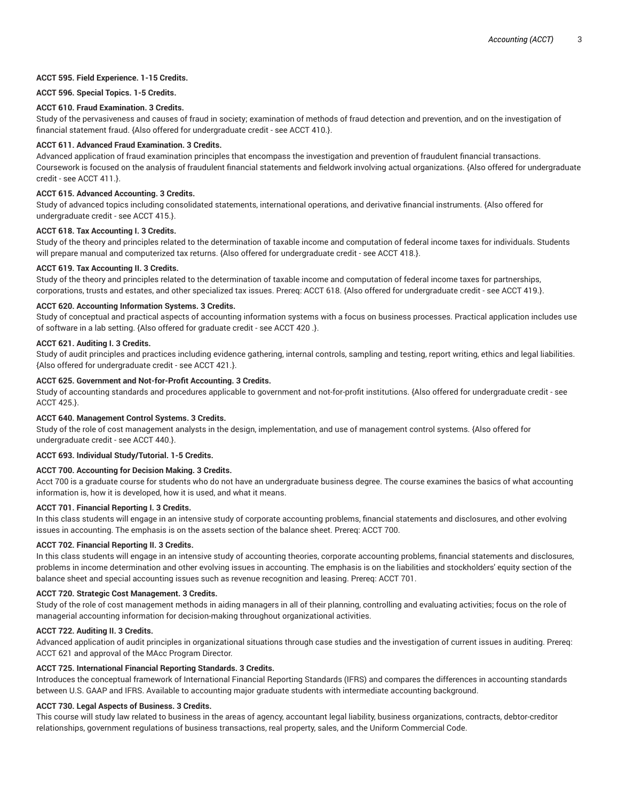# **ACCT 595. Field Experience. 1-15 Credits.**

# **ACCT 596. Special Topics. 1-5 Credits.**

# **ACCT 610. Fraud Examination. 3 Credits.**

Study of the pervasiveness and causes of fraud in society; examination of methods of fraud detection and prevention, and on the investigation of financial statement fraud. {Also offered for undergraduate credit - see ACCT 410.}.

# **ACCT 611. Advanced Fraud Examination. 3 Credits.**

Advanced application of fraud examination principles that encompass the investigation and prevention of fraudulent financial transactions. Coursework is focused on the analysis of fraudulent financial statements and fieldwork involving actual organizations. {Also offered for undergraduate credit - see ACCT 411.}.

# **ACCT 615. Advanced Accounting. 3 Credits.**

Study of advanced topics including consolidated statements, international operations, and derivative financial instruments. {Also offered for undergraduate credit - see ACCT 415.}.

# **ACCT 618. Tax Accounting I. 3 Credits.**

Study of the theory and principles related to the determination of taxable income and computation of federal income taxes for individuals. Students will prepare manual and computerized tax returns. {Also offered for undergraduate credit - see ACCT 418.}.

# **ACCT 619. Tax Accounting II. 3 Credits.**

Study of the theory and principles related to the determination of taxable income and computation of federal income taxes for partnerships, corporations, trusts and estates, and other specialized tax issues. Prereq: ACCT 618. {Also offered for undergraduate credit - see ACCT 419.}.

# **ACCT 620. Accounting Information Systems. 3 Credits.**

Study of conceptual and practical aspects of accounting information systems with a focus on business processes. Practical application includes use of software in a lab setting. {Also offered for graduate credit - see ACCT 420 .}.

# **ACCT 621. Auditing I. 3 Credits.**

Study of audit principles and practices including evidence gathering, internal controls, sampling and testing, report writing, ethics and legal liabilities. {Also offered for undergraduate credit - see ACCT 421.}.

# **ACCT 625. Government and Not-for-Profit Accounting. 3 Credits.**

Study of accounting standards and procedures applicable to government and not-for-profit institutions. {Also offered for undergraduate credit - see ACCT 425.}.

# **ACCT 640. Management Control Systems. 3 Credits.**

Study of the role of cost management analysts in the design, implementation, and use of management control systems. {Also offered for undergraduate credit - see ACCT 440.}.

# **ACCT 693. Individual Study/Tutorial. 1-5 Credits.**

# **ACCT 700. Accounting for Decision Making. 3 Credits.**

Acct 700 is a graduate course for students who do not have an undergraduate business degree. The course examines the basics of what accounting information is, how it is developed, how it is used, and what it means.

# **ACCT 701. Financial Reporting I. 3 Credits.**

In this class students will engage in an intensive study of corporate accounting problems, financial statements and disclosures, and other evolving issues in accounting. The emphasis is on the assets section of the balance sheet. Prereq: ACCT 700.

# **ACCT 702. Financial Reporting II. 3 Credits.**

In this class students will engage in an intensive study of accounting theories, corporate accounting problems, financial statements and disclosures, problems in income determination and other evolving issues in accounting. The emphasis is on the liabilities and stockholders' equity section of the balance sheet and special accounting issues such as revenue recognition and leasing. Prereq: ACCT 701.

# **ACCT 720. Strategic Cost Management. 3 Credits.**

Study of the role of cost management methods in aiding managers in all of their planning, controlling and evaluating activities; focus on the role of managerial accounting information for decision-making throughout organizational activities.

# **ACCT 722. Auditing II. 3 Credits.**

Advanced application of audit principles in organizational situations through case studies and the investigation of current issues in auditing. Prereq: ACCT 621 and approval of the MAcc Program Director.

# **ACCT 725. International Financial Reporting Standards. 3 Credits.**

Introduces the conceptual framework of International Financial Reporting Standards (IFRS) and compares the differences in accounting standards between U.S. GAAP and IFRS. Available to accounting major graduate students with intermediate accounting background.

# **ACCT 730. Legal Aspects of Business. 3 Credits.**

This course will study law related to business in the areas of agency, accountant legal liability, business organizations, contracts, debtor-creditor relationships, government regulations of business transactions, real property, sales, and the Uniform Commercial Code.